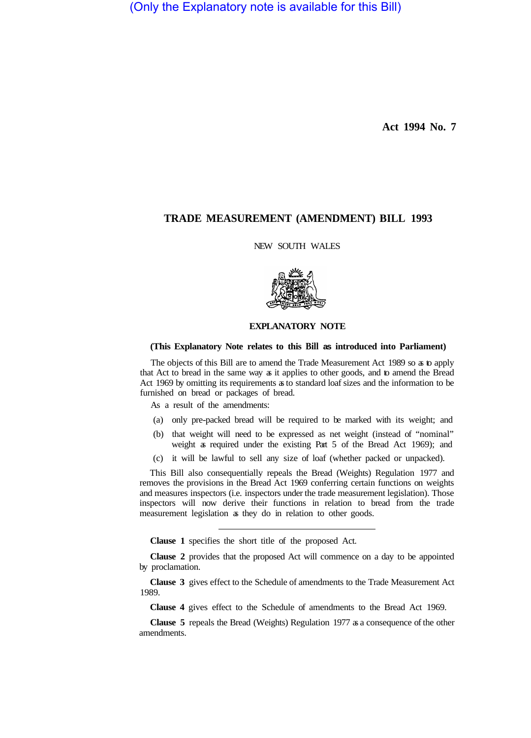(Only the Explanatory note is available for this Bill)

**Act 1994 No. 7** 

## **TRADE MEASUREMENT (AMENDMENT) BILL 1993**

## NEW SOUTH WALES



## **EXPLANATORY NOTE**

## **(This Explanatory Note relates to this Bill as introduced into Parliament)**

The objects of this Bill are to amend the Trade Measurement Act 1989 so as to apply that Act to bread in the same way as it applies to other goods, and to amend the Bread Act 1969 by omitting its requirements as to standard loaf sizes and the information to be furnished on bread or packages of bread.

As a result of the amendments:

- (a) only pre-packed bread will be required to be marked with its weight; and
- (b) that weight will need to be expressed as net weight (instead of "nominal" weight as required under the existing Part 5 of the Bread Act 1969); and
- (c) it will be lawful to sell any size of loaf (whether packed or unpacked).

This Bill also consequentially repeals the Bread (Weights) Regulation 1977 and removes the provisions in the Bread Act 1969 conferring certain functions on weights and measures inspectors (i.e. inspectors under the trade measurement legislation). Those inspectors will now derive their functions in relation to bread from the trade measurement legislation as they do in relation to other goods.

**Clause 1** specifies the short title of the proposed Act.

**Clause 2** provides that the proposed Act will commence on a day to be appointed by proclamation.

**Clause 3** gives effect to the Schedule of amendments to the Trade Measurement Act 1989.

**Clause 4** gives effect to the Schedule of amendments to the Bread Act 1969.

**Clause 5** repeals the Bread (Weights) Regulation 1977 as a consequence of the other amendments.